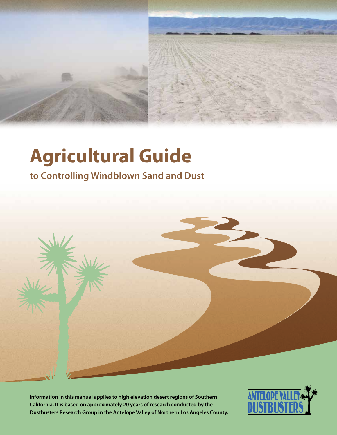

# **Agricultural Guide**

### **to Controlling Windblown Sand and Dust**



 $\blacktriangledown$ 

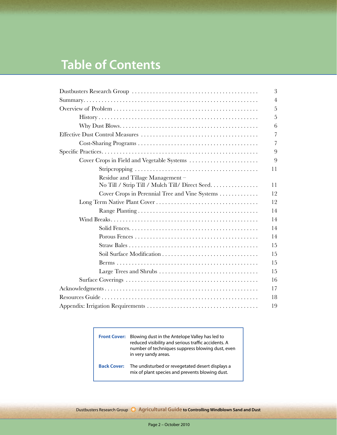### **Table of Contents**

|                                                 | 3              |
|-------------------------------------------------|----------------|
|                                                 | $\overline{4}$ |
|                                                 | 5              |
|                                                 | 5              |
|                                                 | 6              |
|                                                 | $\overline{7}$ |
|                                                 | $\overline{7}$ |
|                                                 | 9              |
| Cover Crops in Field and Vegetable Systems      | 9              |
|                                                 | 11             |
| Residue and Tillage Management-                 |                |
| No Till / Strip Till / Mulch Till/ Direct Seed. | 11             |
| Cover Crops in Perennial Tree and Vine Systems  | 12             |
|                                                 | 12             |
|                                                 | 14             |
|                                                 | 14             |
|                                                 | 14             |
|                                                 | 14             |
|                                                 | 15             |
|                                                 | 15             |
|                                                 | 15             |
|                                                 | 15             |
|                                                 | 16             |
|                                                 | 17             |
|                                                 | 18             |
|                                                 | 19             |

**Front Cover:** Blowing dust in the Antelope Valley has led to reduced visibility and serious traffic accidents. A number of techniques suppress blowing dust, even in very sandy areas. **Back Cover:** The undisturbed or revegetated desert displays a mix of plant species and prevents blowing dust.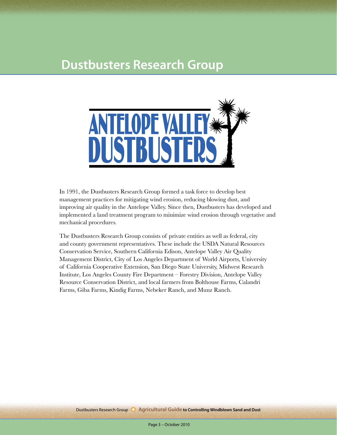### **Dustbusters Research Group**



In 1991, the Dustbusters Research Group formed a task force to develop best management practices for mitigating wind erosion, reducing blowing dust, and improving air quality in the Antelope Valley. Since then, Dustbusters has developed and implemented a land treatment program to minimize wind erosion through vegetative and mechanical procedures.

The Dustbusters Research Group consists of private entities as well as federal, city and county government representatives. These include the USDA Natural Resources Conservation Service, Southern California Edison, Antelope Valley Air Quality Management District, City of Los Angeles Department of World Airports, University of California Cooperative Extension, San Diego State University, Midwest Research Institute, Los Angeles County Fire Department – Forestry Division, Antelope Valley Resource Conservation District, and local farmers from Bolthouse Farms, Calandri Farms, Giba Farms, Kindig Farms, Nebeker Ranch, and Munz Ranch.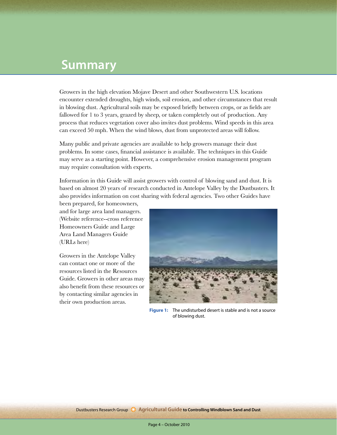### **Summary**

Growers in the high elevation Mojave Desert and other Southwestern U.S. locations encounter extended droughts, high winds, soil erosion, and other circumstances that result in blowing dust. Agricultural soils may be exposed briefly between crops, or as fields are fallowed for 1 to 3 years, grazed by sheep, or taken completely out of production. Any process that reduces vegetation cover also invites dust problems. Wind speeds in this area can exceed 50 mph. When the wind blows, dust from unprotected areas will follow.

Many public and private agencies are available to help growers manage their dust problems. In some cases, financial assistance is available. The techniques in this Guide may serve as a starting point. However, a comprehensive erosion management program may require consultation with experts.

Information in this Guide will assist growers with control of blowing sand and dust. It is based on almost 20 years of research conducted in Antelope Valley by the Dustbusters. It also provides information on cost sharing with federal agencies. Two other Guides have

been prepared, for homeowners, and for large area land managers. (Website reference--cross reference Homeowners Guide and Large Area Land Managers Guide (URLs here)

Growers in the Antelope Valley can contact one or more of the resources listed in the Resources Guide. Growers in other areas may also benefit from these resources or by contacting similar agencies in their own production areas.



**Figure 1:** The undisturbed desert is stable and is not a source of blowing dust.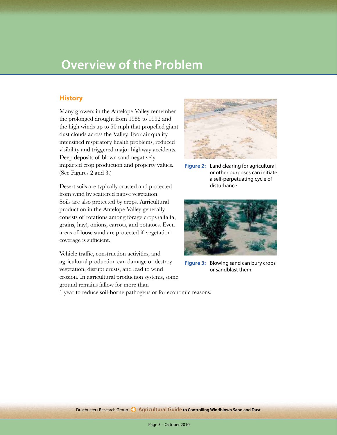### **Overview of the Problem**

#### **History**

Many growers in the Antelope Valley remember the prolonged drought from 1985 to 1992 and the high winds up to 50 mph that propelled giant dust clouds across the Valley. Poor air quality intensified respiratory health problems, reduced visibility and triggered major highway accidents. Deep deposits of blown sand negatively impacted crop production and property values. (See Figures 2 and 3.)

Desert soils are typically crusted and protected from wind by scattered native vegetation. Soils are also protected by crops. Agricultural production in the Antelope Valley generally consists of rotations among forage crops (alfalfa, grains, hay), onions, carrots, and potatoes. Even areas of loose sand are protected if vegetation coverage is sufficient.

Vehicle traffic, construction activities, and agricultural production can damage or destroy vegetation, disrupt crusts, and lead to wind erosion. In agricultural production systems, some ground remains fallow for more than 1 year to reduce soil-borne pathogens or for economic reasons.



**Figure 2:** Land clearing for agricultural or other purposes can initiate a self-perpetuating cycle of disturbance.



**Figure 3:** Blowing sand can bury crops or sandblast them.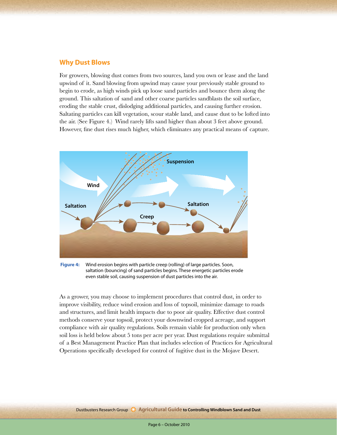#### **Why Dust Blows**

For growers, blowing dust comes from two sources, land you own or lease and the land upwind of it. Sand blowing from upwind may cause your previously stable ground to begin to erode, as high winds pick up loose sand particles and bounce them along the ground. This saltation of sand and other coarse particles sandblasts the soil surface, eroding the stable crust, dislodging additional particles, and causing further erosion. Saltating particles can kill vegetation, scour stable land, and cause dust to be lofted into the air. (See Figure 4.) Wind rarely lifts sand higher than about 3 feet above ground. However, fine dust rises much higher, which eliminates any practical means of capture.



**Figure 4:** Wind erosion begins with particle creep (rolling) of large particles. Soon, saltation (bouncing) of sand particles begins. These energetic particles erode even stable soil, causing suspension of dust particles into the air.

As a grower, you may choose to implement procedures that control dust, in order to improve visibility, reduce wind erosion and loss of topsoil, minimize damage to roads and structures, and limit health impacts due to poor air quality. Effective dust control methods conserve your topsoil, protect your downwind cropped acreage, and support compliance with air quality regulations. Soils remain viable for production only when soil loss is held below about 5 tons per acre per year. Dust regulations require submittal of a Best Management Practice Plan that includes selection of Practices for Agricultural Operations specifically developed for control of fugitive dust in the Mojave Desert.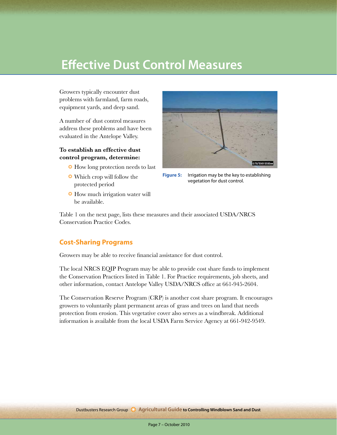### **Effective Dust Control Measures**

Growers typically encounter dust problems with farmland, farm roads, equipment yards, and deep sand.

A number of dust control measures address these problems and have been evaluated in the Antelope Valley.

#### **To establish an effective dust control program, determine:**

- ❂ How long protection needs to last
- ❂ Which crop will follow the protected period
- ❂ How much irrigation water will be available.



**Figure 5:** Irrigation may be the key to establishing vegetation for dust control.

Table 1 on the next page, lists these measures and their associated USDA/NRCS Conservation Practice Codes.

### **Cost-Sharing Programs**

Growers may be able to receive financial assistance for dust control.

The local NRCS EQIP Program may be able to provide cost share funds to implement the Conservation Practices listed in Table 1. For Practice requirements, job sheets, and other information, contact Antelope Valley USDA/NRCS office at 661-945-2604.

The Conservation Reserve Program (CRP) is another cost share program. It encourages growers to voluntarily plant permanent areas of grass and trees on land that needs protection from erosion. This vegetative cover also serves as a windbreak. Additional information is available from the local USDA Farm Service Agency at 661-942-9549.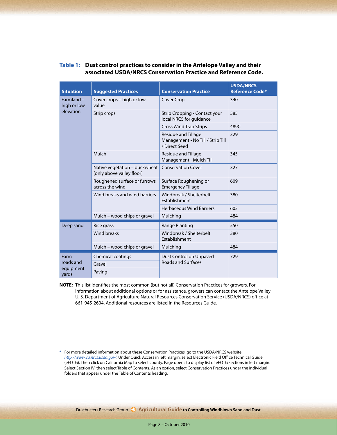| <b>Situation</b>                        | <b>Suggested Practices</b>                                 | <b>Conservation Practice</b>                                              | <b>USDA/NRCS</b><br><b>Reference Code*</b> |  |
|-----------------------------------------|------------------------------------------------------------|---------------------------------------------------------------------------|--------------------------------------------|--|
| Farmland -<br>high or low<br>elevation  | Cover crops - high or low<br>value                         | <b>Cover Crop</b>                                                         | 340                                        |  |
|                                         | Strip crops                                                | Strip Cropping - Contact your<br>local NRCS for guidance                  | 585                                        |  |
|                                         |                                                            | <b>Cross Wind Trap Strips</b>                                             | 489C                                       |  |
|                                         |                                                            | Residue and Tillage<br>Management - No Till / Strip Till<br>/ Direct Seed | 329                                        |  |
|                                         | Mulch                                                      | Residue and Tillage<br>Management - Mulch Till                            | 345                                        |  |
|                                         | Native vegetation - buckwheat<br>(only above valley floor) | <b>Conservation Cover</b>                                                 | 327                                        |  |
|                                         | Roughened surface or furrows<br>across the wind            | Surface Roughening or<br><b>Emergency Tillage</b>                         | 609                                        |  |
|                                         | Wind breaks and wind barriers                              | Windbreak / Shelterbelt<br>Establishment                                  | 380                                        |  |
|                                         |                                                            | <b>Herbaceous Wind Barriers</b>                                           | 603                                        |  |
|                                         | Mulch - wood chips or gravel                               | Mulching                                                                  | 484                                        |  |
| Deep sand                               | Rice grass                                                 | Range Planting                                                            | 550                                        |  |
|                                         | Wind breaks                                                | Windbreak / Shelterbelt<br>Establishment                                  | 380                                        |  |
|                                         | Mulch - wood chips or gravel                               | Mulching                                                                  | 484                                        |  |
| Farm<br>roads and<br>equipment<br>yards | Chemical coatings                                          | Dust Control on Unpaved                                                   | 729                                        |  |
|                                         | Gravel                                                     | <b>Roads and Surfaces</b>                                                 |                                            |  |
|                                         | Paving                                                     |                                                                           |                                            |  |

#### **Table 1: Dust control practices to consider in the Antelope Valley and their associated USDA/NRCS Conservation Practice and Reference Code.**

**NOTE:** This list identifies the most common (but not all) Conservation Practices for growers. For information about additional options or for assistance, growers can contact the Antelope Valley U. S. Department of Agriculture Natural Resources Conservation Service (USDA/NRCS) office at 661-945-2604. Additional resources are listed in the Resources Guide.

**\*** For more detailed information about these Conservation Practices, go to the USDA/NRCS website *http://www.ca.nrcs.usda.gov/*. Under Quick Access in left margin, select Electronic Field Office Technical Guide (eFOTG). Then click on California Map to select county. Page opens to display list of eFOTG sections in left margin. Select Section IV; then select Table of Contents. As an option, select Conservation Practices under the individual folders that appear under the Table of Contents heading.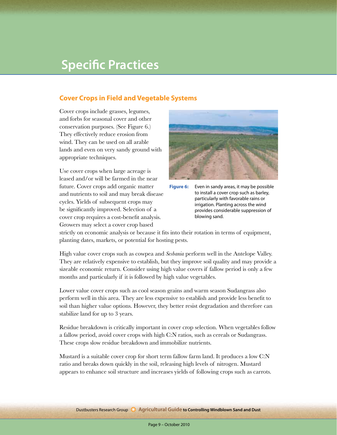### **Specific Practices**

#### **Cover Crops in Field and Vegetable Systems**

Cover crops include grasses, legumes, and forbs for seasonal cover and other conservation purposes. (See Figure 6.) They effectively reduce erosion from wind. They can be used on all arable lands and even on very sandy ground with appropriate techniques.

Use cover crops when large acreage is leased and/or will be farmed in the near future. Cover crops add organic matter and nutrients to soil and may break disease cycles. Yields of subsequent crops may be significantly improved. Selection of a cover crop requires a cost-benefit analysis. Growers may select a cover crop based



**Figure 6:** Even in sandy areas, it may be possible to install a cover crop such as barley, particularly with favorable rains or irrigation. Planting across the wind provides considerable suppression of blowing sand.

strictly on economic analysis or because it fits into their rotation in terms of equipment, planting dates, markets, or potential for hosting pests.

High value cover crops such as cowpea and *Sesbania* perform well in the Antelope Valley. They are relatively expensive to establish, but they improve soil quality and may provide a sizeable economic return. Consider using high value covers if fallow period is only a few months and particularly if it is followed by high value vegetables.

Lower value cover crops such as cool season grains and warm season Sudangrass also perform well in this area. They are less expensive to establish and provide less benefit to soil than higher value options. However, they better resist degradation and therefore can stabilize land for up to 3 years.

Residue breakdown is critically important in cover crop selection. When vegetables follow a fallow period, avoid cover crops with high C:N ratios, such as cereals or Sudangrass. These crops slow residue breakdown and immobilize nutrients.

Mustard is a suitable cover crop for short term fallow farm land. It produces a low C:N ratio and breaks down quickly in the soil, releasing high levels of nitrogen. Mustard appears to enhance soil structure and increases yields of following crops such as carrots.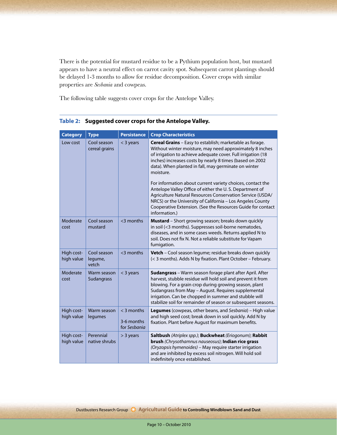There is the potential for mustard residue to be a Pythium population host, but mustard appears to have a neutral effect on carrot cavity spot. Subsequent carrot plantings should be delayed 1-3 months to allow for residue decomposition. Cover crops with similar properties are *Sesbania* and cowpeas.

The following table suggests cover crops for the Antelope Valley.

| <b>Category</b>          | <b>Type</b>                     | <b>Persistance</b>                         | <b>Crop Characteristics</b>                                                                                                                                                                                                                                                                                                                                                                                                                                                                                                                                                                                                                               |
|--------------------------|---------------------------------|--------------------------------------------|-----------------------------------------------------------------------------------------------------------------------------------------------------------------------------------------------------------------------------------------------------------------------------------------------------------------------------------------------------------------------------------------------------------------------------------------------------------------------------------------------------------------------------------------------------------------------------------------------------------------------------------------------------------|
| Low cost                 | Cool season<br>cereal grains    | $<$ 3 years                                | Cereal Grains - Easy to establish; marketable as forage.<br>Without winter moisture, may need approximately 8 inches<br>of irrigation to achieve adequate cover. Full irrigation (18<br>inches) increases costs by nearly 8 times (based on 2002<br>data). When planted in fall, may germinate on winter<br>moisture.<br>For information about current variety choices, contact the<br>Antelope Valley Office of either the U.S. Department of<br>Agriculture Natural Resources Conservation Service (USDA/<br>NRCS) or the University of California - Los Angeles County<br>Cooperative Extension. (See the Resources Guide for contact<br>information.) |
| Moderate<br>cost         | Cool season<br>mustard          | $<$ 3 months                               | Mustard - Short growing season; breaks down quickly<br>in soil (<3 months). Suppresses soil-borne nematodes,<br>diseases, and in some cases weeds. Returns applied N to<br>soil. Does not fix N. Not a reliable substitute for Vapam<br>fumigation.                                                                                                                                                                                                                                                                                                                                                                                                       |
| High cost-<br>high value | Cool season<br>legume,<br>vetch | $<$ 3 months                               | Vetch - Cool season legume; residue breaks down quickly<br>(< 3 months). Adds N by fixation. Plant October - February.                                                                                                                                                                                                                                                                                                                                                                                                                                                                                                                                    |
| Moderate<br>cost         | Warm season<br>Sudangrass       | $<$ 3 years                                | Sudangrass - Warm season forage plant after April. After<br>harvest, stubble residue will hold soil and prevent it from<br>blowing. For a grain crop during growing season, plant<br>Sudangrass from May - August. Requires supplemental<br>irrigation. Can be chopped in summer and stubble will<br>stabilize soil for remainder of season or subsequent seasons.                                                                                                                                                                                                                                                                                        |
| High cost-<br>high value | Warm season<br>legumes          | $<$ 3 months<br>3-6 months<br>for Sesbania | Legumes (cowpeas, other beans, and Sesbania) - High value<br>and high seed cost; break down in soil quickly. Add N by<br>fixation. Plant before August for maximum benefits.                                                                                                                                                                                                                                                                                                                                                                                                                                                                              |
| High cost-<br>high value | Perennial<br>native shrubs      | > 3 years                                  | Saltbush (Atriplex spp.); Buckwheat (Eriogonum); Rabbit<br>brush (Chrysothamnus nauseosus); Indian rice grass<br>(Oryzopsis hymenoides) - May require starter irrigation<br>and are inhibited by excess soil nitrogen. Will hold soil<br>indefinitely once established.                                                                                                                                                                                                                                                                                                                                                                                   |

#### **Table 2: Suggested cover crops for the Antelope Valley.**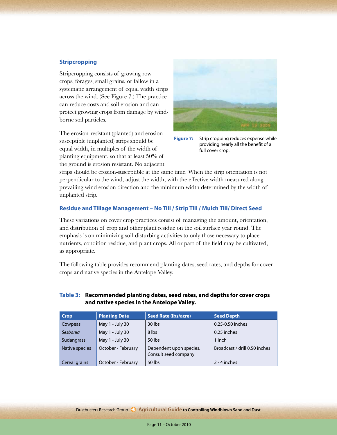#### **Stripcropping**

Stripcropping consists of growing row crops, forages, small grains, or fallow in a systematic arrangement of equal width strips across the wind. (See Figure 7.) The practice can reduce costs and soil erosion and can protect growing crops from damage by windborne soil particles.

The erosion-resistant (planted) and erosionsusceptible (unplanted) strips should be equal width, in multiples of the width of planting equipment, so that at least 50% of the ground is erosion resistant. No adjacent



**Figure 7:** Strip cropping reduces expense while providing nearly all the benefit of a full cover crop.

strips should be erosion-susceptible at the same time. When the strip orientation is not perpendicular to the wind, adjust the width, with the effective width measured along prevailing wind erosion direction and the minimum width determined by the width of unplanted strip.

#### **Residue and Tillage Management – No Till / Strip Till / Mulch Till/ Direct Seed**

These variations on cover crop practices consist of managing the amount, orientation, and distribution of crop and other plant residue on the soil surface year round. The emphasis is on minimizing soil-disturbing activities to only those necessary to place nutrients, condition residue, and plant crops. All or part of the field may be cultivated, as appropriate.

The following table provides recommend planting dates, seed rates, and depths for cover crops and native species in the Antelope Valley.

#### **Table 3: Recommended planting dates, seed rates, and depths for cover crops and native species in the Antelope Valley.**

| <b>Crop</b>       | <b>Planting Date</b> | <b>Seed Rate (Ibs/acre)</b>                     | <b>Seed Depth</b>             |
|-------------------|----------------------|-------------------------------------------------|-------------------------------|
| Cowpeas           | May 1 - July 30      | $30$ lbs                                        | 0.25-0.50 inches              |
| Sesbania          | May 1 - July 30      | 8 lbs                                           | 0.25 inches                   |
| <b>Sudangrass</b> | May 1 - July 30      | 50 lbs                                          | 1 inch                        |
| Native species    | October - February   | Dependent upon species.<br>Consult seed company | Broadcast / drill 0.50 inches |
| Cereal grains     | October - February   | 50 lbs                                          | 2 - 4 inches                  |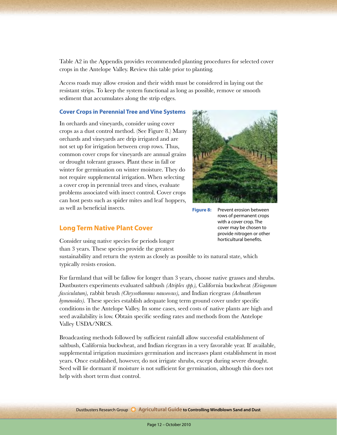Table A2 in the Appendix provides recommended planting procedures for selected cover crops in the Antelope Valley. Review this table prior to planting.

Access roads may allow erosion and their width must be considered in laying out the resistant strips. To keep the system functional as long as possible, remove or smooth sediment that accumulates along the strip edges.

#### **Cover Crops in Perennial Tree and Vine Systems**

In orchards and vineyards, consider using cover crops as a dust control method. (See Figure 8.) Many orchards and vineyards are drip irrigated and are not set up for irrigation between crop rows. Thus, common cover crops for vineyards are annual grains or drought tolerant grasses. Plant these in fall or winter for germination on winter moisture. They do not require supplemental irrigation. When selecting a cover crop in perennial trees and vines, evaluate problems associated with insect control. Cover crops can host pests such as spider mites and leaf hoppers, as well as beneficial insects.



**Figure 8:** Prevent erosion between rows of permanent crops with a cover crop. The cover may be chosen to provide nitrogen or other horticultural benefits.

### **Long Term Native Plant Cover**

Consider using native species for periods longer than 3 years. These species provide the greatest

sustainability and return the system as closely as possible to its natural state, which typically resists erosion.

For farmland that will be fallow for longer than 3 years, choose native grasses and shrubs. Dustbusters experiments evaluated saltbush *(Atriplex spp.),* California buckwheat *(Eriogonum fasciculatum),* rabbit brush *(Chrysothamnus nauseosus),* and Indian ricegrass *(Achnatherum hymenoides*). These species establish adequate long term ground cover under specific conditions in the Antelope Valley. In some cases, seed costs of native plants are high and seed availability is low. Obtain specific seeding rates and methods from the Antelope Valley USDA/NRCS.

Broadcasting methods followed by sufficient rainfall allow successful establishment of saltbush, California buckwheat, and Indian ricegrass in a very favorable year. If available, supplemental irrigation maximizes germination and increases plant establishment in most years. Once established, however, do not irrigate shrubs, except during severe drought. Seed will lie dormant if moisture is not sufficient for germination, although this does not help with short term dust control.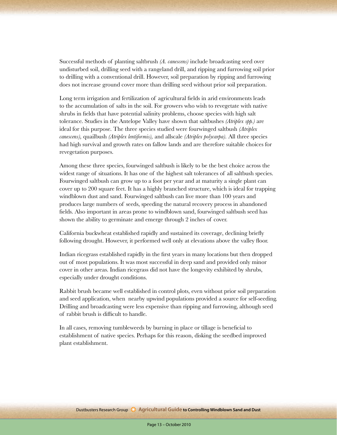Successful methods of planting saltbrush *(A. canescens)* include broadcasting seed over undisturbed soil, drilling seed with a rangeland drill, and ripping and furrowing soil prior to drilling with a conventional drill. However, soil preparation by ripping and furrowing does not increase ground cover more than drilling seed without prior soil preparation.

Long term irrigation and fertilization of agricultural fields in arid environments leads to the accumulation of salts in the soil. For growers who wish to revegetate with native shrubs in fields that have potential salinity problems, choose species with high salt tolerance. Studies in the Antelope Valley have shown that saltbushes *(Atriplex spp.)* are ideal for this purpose. The three species studied were fourwinged saltbush *(Atriplex canescens),* quailbush *(Atriplex lentiformis),* and allscale *(Atriplex polycarpa).* All three species had high survival and growth rates on fallow lands and are therefore suitable choices for revegetation purposes.

Among these three species, fourwinged saltbush is likely to be the best choice across the widest range of situations. It has one of the highest salt tolerances of all saltbush species. Fourwinged saltbush can grow up to a foot per year and at maturity a single plant can cover up to 200 square feet. It has a highly branched structure, which is ideal for trapping windblown dust and sand. Fourwinged saltbush can live more than 100 years and produces large numbers of seeds, speeding the natural recovery process in abandoned fields. Also important in areas prone to windblown sand, fourwinged saltbush seed has shown the ability to germinate and emerge through 2 inches of cover.

California buckwheat established rapidly and sustained its coverage, declining briefly following drought. However, it performed well only at elevations above the valley floor.

Indian ricegrass established rapidly in the first years in many locations but then dropped out of most populations. It was most successful in deep sand and provided only minor cover in other areas. Indian ricegrass did not have the longevity exhibited by shrubs, especially under drought conditions.

Rabbit brush became well established in control plots, even without prior soil preparation and seed application, when nearby upwind populations provided a source for self-seeding. Drilling and broadcasting were less expensive than ripping and furrowing, although seed of rabbit brush is difficult to handle.

In all cases, removing tumbleweeds by burning in place or tillage is beneficial to establishment of native species. Perhaps for this reason, disking the seedbed improved plant establishment.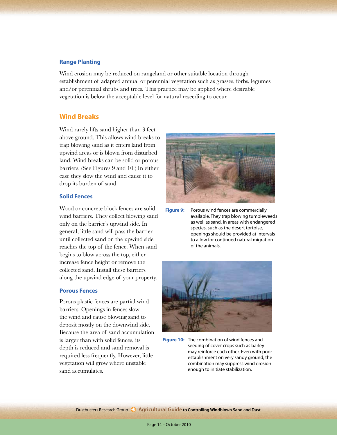#### **Range Planting**

Wind erosion may be reduced on rangeland or other suitable location through establishment of adapted annual or perennial vegetation such as grasses, forbs, legumes and/or perennial shrubs and trees. This practice may be applied where desirable vegetation is below the acceptable level for natural reseeding to occur.

#### **Wind Breaks**

Wind rarely lifts sand higher than 3 feet above ground. This allows wind breaks to trap blowing sand as it enters land from upwind areas or is blown from disturbed land. Wind breaks can be solid or porous barriers. (See Figures 9 and 10.) In either case they slow the wind and cause it to drop its burden of sand.

#### **Solid Fences**

Wood or concrete block fences are solid wind barriers. They collect blowing sand only on the barrier's upwind side. In general, little sand will pass the barrier until collected sand on the upwind side reaches the top of the fence. When sand begins to blow across the top, either increase fence height or remove the collected sand. Install these barriers along the upwind edge of your property.

#### **Porous Fences**

Porous plastic fences are partial wind barriers. Openings in fences slow the wind and cause blowing sand to deposit mostly on the downwind side. Because the area of sand accumulation is larger than with solid fences, its depth is reduced and sand removal is required less frequently. However, little vegetation will grow where unstable sand accumulates.



**Figure 9:** Porous wind fences are commercially available. They trap blowing tumbleweeds as well as sand. In areas with endangered species, such as the desert tortoise, openings should be provided at intervals to allow for continued natural migration of the animals.



**Figure 10:** The combination of wind fences and seeding of cover crops such as barley may reinforce each other. Even with poor establishment on very sandy ground, the combination may suppress wind erosion enough to initiate stabilization.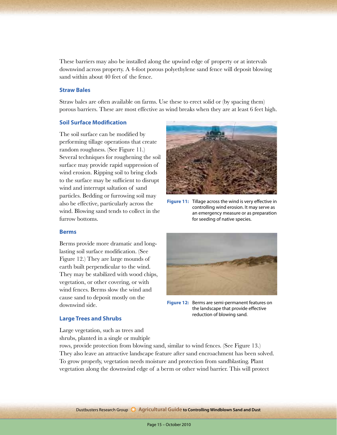These barriers may also be installed along the upwind edge of property or at intervals downwind across property. A 4-foot porous polyethylene sand fence will deposit blowing sand within about 40 feet of the fence.

#### **Straw Bales**

Straw bales are often available on farms. Use these to erect solid or (by spacing them) porous barriers. These are most effective as wind breaks when they are at least 6 feet high.

#### **Soil Surface Modification**

The soil surface can be modified by performing tillage operations that create random roughness. (See Figure 11.) Several techniques for roughening the soil surface may provide rapid suppression of wind erosion. Ripping soil to bring clods to the surface may be sufficient to disrupt wind and interrupt saltation of sand particles. Bedding or furrowing soil may also be effective, particularly across the wind. Blowing sand tends to collect in the furrow bottoms.



**Figure 11:** Tillage across the wind is very effective in controlling wind erosion. It may serve as an emergency measure or as preparation for seeding of native species.

#### **Berms**

Berms provide more dramatic and longlasting soil surface modification. (See Figure 12.) They are large mounds of earth built perpendicular to the wind. They may be stabilized with wood chips, vegetation, or other covering, or with wind fences. Berms slow the wind and cause sand to deposit mostly on the downwind side.

**Figure 12:** Berms are semi-permanent features on the landscape that provide effective reduction of blowing sand.

#### **Large Trees and Shrubs**

Large vegetation, such as trees and shrubs, planted in a single or multiple

rows, provide protection from blowing sand, similar to wind fences. (See Figure 13.) They also leave an attractive landscape feature after sand encroachment has been solved. To grow properly, vegetation needs moisture and protection from sandblasting. Plant vegetation along the downwind edge of a berm or other wind barrier. This will protect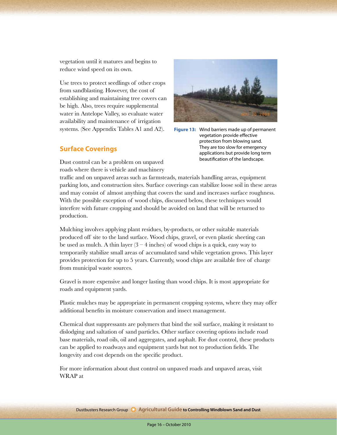vegetation until it matures and begins to reduce wind speed on its own.

Use trees to protect seedlings of other crops from sandblasting. However, the cost of establishing and maintaining tree covers can be high. Also, trees require supplemental water in Antelope Valley, so evaluate water availability and maintenance of irrigation systems. (See Appendix Tables A1 and A2).

**Figure 13:** Wind barriers made up of permanent vegetation provide effective protection from blowing sand. They are too slow for emergency applications but provide long term beautification of the landscape.

#### **Surface Coverings**

Dust control can be a problem on unpaved roads where there is vehicle and machinery

traffic and on unpaved areas such as farmsteads, materials handling areas, equipment parking lots, and construction sites. Surface coverings can stabilize loose soil in these areas and may consist of almost anything that covers the sand and increases surface roughness. With the possible exception of wood chips, discussed below, these techniques would interfere with future cropping and should be avoided on land that will be returned to production.

Mulching involves applying plant residues, by-products, or other suitable materials produced off site to the land surface. Wood chips, gravel, or even plastic sheeting can be used as mulch. A thin layer  $(3 - 4$  inches) of wood chips is a quick, easy way to temporarily stabilize small areas of accumulated sand while vegetation grows. This layer provides protection for up to 5 years. Currently, wood chips are available free of charge from municipal waste sources.

Gravel is more expensive and longer lasting than wood chips. It is most appropriate for roads and equipment yards.

Plastic mulches may be appropriate in permanent cropping systems, where they may offer additional benefits in moisture conservation and insect management.

Chemical dust suppressants are polymers that bind the soil surface, making it resistant to dislodging and saltation of sand particles. Other surface covering options include road base materials, road oils, oil and aggregates, and asphalt. For dust control, these products can be applied to roadways and equipment yards but not to production fields. The longevity and cost depends on the specific product.

For more information about dust control on unpaved roads and unpaved areas, visit WRAP at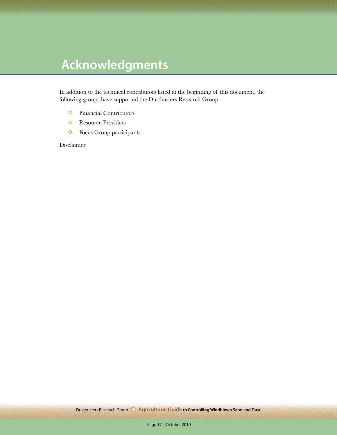## **Acknowledgments**

In addition to the technical contributors listed at the beginning of this document, the following groups have supported the Dustbusters Research Group:

- ❂ Financial Contributors
- ❂ Resource Providers
- ❂ Focus Group participants

Disclaimer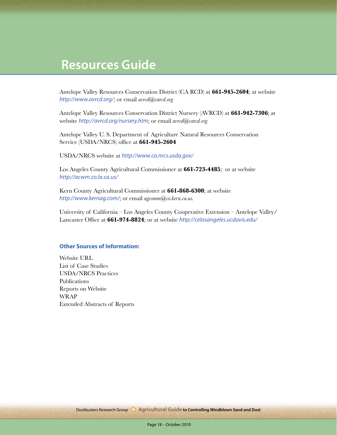### **Resources Guide**

Antelope Valley Resources Conservation District (CA RCD) at **661-945-2604**; at website *http://www.avrcd.org/*; or email *avrcd@carcd.org*

Antelope Valley Resources Conservation District Nursery (AVRCD) at **661-942-7306**; at website *http://avrcd.org/nursery.htm*; or email *avrcd@carcd.org*

Antelope Valley U. S. Department of Agriculture Natural Resources Conservation Service (USDA/NRCS) office at **661-945-2604**

USDA/NRCS website at *http://www.ca.nrcs.usda.gov/*

Los Angeles County Agricultural Commissioner at **661-723-4485**; or at website *http://acwm.co.la.ca.us/*

Kern County Agricultural Commissioner at **661-868-6300**; at website *http://www.kernag.com/*; or email *agcomm@co.kern.ca.us.*

University of California – Los Angeles County Cooperative Extension – Antelope Valley/ Lancaster Office at **661-974-8824**; or at website *http://celosangeles.ucdavis.edu/*

#### **Other Sources of Information:**

Website URL List of Case Studies USDA/NRCS Practices Publications Reports on Website WRAP Extended Abstracts of Reports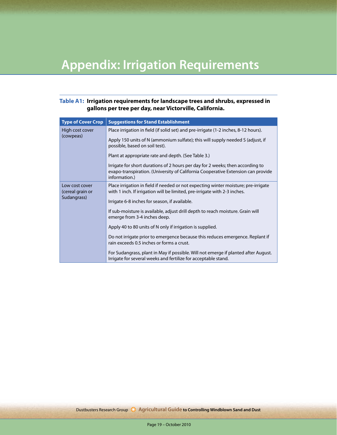## **Appendix: Irrigation Requirements**

#### **Table A1: Irrigation requirements for landscape trees and shrubs, expressed in gallons per tree per day, near Victorville, California.**

| <b>Type of Cover Crop</b>                         | <b>Suggestions for Stand Establishment</b>                                                                                                                                          |  |  |  |  |  |
|---------------------------------------------------|-------------------------------------------------------------------------------------------------------------------------------------------------------------------------------------|--|--|--|--|--|
| High cost cover<br>(cowpeas)                      | Place irrigation in field (if solid set) and pre-irrigate (1-2 inches, 8-12 hours).                                                                                                 |  |  |  |  |  |
|                                                   | Apply 150 units of N (ammonium sulfate); this will supply needed S (adjust, if<br>possible, based on soil test).                                                                    |  |  |  |  |  |
|                                                   | Plant at appropriate rate and depth. (See Table 3.)                                                                                                                                 |  |  |  |  |  |
|                                                   | Irrigate for short durations of 2 hours per day for 2 weeks; then according to<br>evapo-transpiration. (University of California Cooperative Extension can provide<br>information.) |  |  |  |  |  |
| Low cost cover<br>(cereal grain or<br>Sudangrass) | Place irrigation in field if needed or not expecting winter moisture; pre-irrigate<br>with 1 inch. If irrigation will be limited, pre-irrigate with 2-3 inches.                     |  |  |  |  |  |
|                                                   | Irrigate 6-8 inches for season, if available.                                                                                                                                       |  |  |  |  |  |
|                                                   | If sub-moisture is available, adjust drill depth to reach moisture. Grain will<br>emerge from 3-4 inches deep.                                                                      |  |  |  |  |  |
|                                                   | Apply 40 to 80 units of N only if irrigation is supplied.                                                                                                                           |  |  |  |  |  |
|                                                   | Do not irrigate prior to emergence because this reduces emergence. Replant if<br>rain exceeds 0.5 inches or forms a crust.                                                          |  |  |  |  |  |
|                                                   | For Sudangrass, plant in May if possible. Will not emerge if planted after August.<br>Irrigate for several weeks and fertilize for acceptable stand.                                |  |  |  |  |  |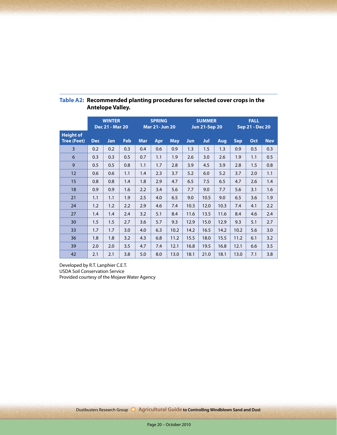|                                        | <b>WINTER</b><br><b>Dec 21 - Mar 20</b> |     | <b>SPRING</b><br><b>Mar 21- Jun 20</b> |            | <b>SUMMER</b><br><b>Jun 21-Sep 20</b> |            |      | <b>FALL</b><br><b>Sep 21 - Dec 20</b> |      |            |     |            |
|----------------------------------------|-----------------------------------------|-----|----------------------------------------|------------|---------------------------------------|------------|------|---------------------------------------|------|------------|-----|------------|
| <b>Height of</b><br><b>Tree (Feet)</b> | <b>Dec</b>                              | Jan | Feb                                    | <b>Mar</b> | Apr                                   | <b>May</b> | Jun. | Jul                                   | Aug  | <b>Sep</b> | Oct | <b>Nov</b> |
| 3                                      | 0.2                                     | 0.2 | 0.3                                    | 0.4        | 0.6                                   | 0.9        | 1.3  | 1.5                                   | 1.3  | 0.9        | 0.5 | 0.3        |
| 6                                      | 0.3                                     | 0.3 | 0.5                                    | 0.7        | 1.1                                   | 1.9        | 2.6  | 3.0                                   | 2.6  | 1.9        | 1.1 | 0.5        |
| 9                                      | 0.5                                     | 0.5 | 0.8                                    | 1.1        | 1.7                                   | 2.8        | 3.9  | 4.5                                   | 3.9  | 2.8        | 1.5 | 0.8        |
| 12                                     | 0.6                                     | 0.6 | 1.1                                    | 1.4        | 2.3                                   | 3.7        | 5.2  | 6.0                                   | 5.2  | 3.7        | 2.0 | 1.1        |
| 15                                     | 0.8                                     | 0.8 | 1.4                                    | 1.8        | 2.9                                   | 4.7        | 6.5  | 7.5                                   | 6.5  | 4.7        | 2.6 | 1.4        |
| 18                                     | 0.9                                     | 0.9 | 1.6                                    | 2.2        | 3.4                                   | 5.6        | 7.7  | 9.0                                   | 7.7  | 5.6        | 3.1 | 1.6        |
| 21                                     | 1.1                                     | 1.1 | 1.9                                    | 2.5        | 4.0                                   | 6.5        | 9.0  | 10.5                                  | 9.0  | 6.5        | 3.6 | 1.9        |
| 24                                     | 1.2                                     | 1.2 | 2.2                                    | 2.9        | 4.6                                   | 7.4        | 10.3 | 12.0                                  | 10.3 | 7.4        | 4.1 | 2.2        |
| 27                                     | 1.4                                     | 1.4 | 2.4                                    | 3.2        | 5.1                                   | 8.4        | 11.6 | 13.5                                  | 11.6 | 8.4        | 4.6 | 2.4        |
| 30                                     | 1.5                                     | 1.5 | 2.7                                    | 3.6        | 5.7                                   | 9.3        | 12.9 | 15.0                                  | 12.9 | 9.3        | 5.1 | 2.7        |
| 33                                     | 1.7                                     | 1.7 | 3.0                                    | 4.0        | 6.3                                   | 10.2       | 14.2 | 16.5                                  | 14.2 | 10.2       | 5.6 | 3.0        |
| 36                                     | 1.8                                     | 1.8 | 3.2                                    | 4.3        | 6.8                                   | 11.2       | 15.5 | 18.0                                  | 15.5 | 11.2       | 6.1 | 3.2        |
| 39                                     | 2.0                                     | 2.0 | 3.5                                    | 4.7        | 7.4                                   | 12.1       | 16.8 | 19.5                                  | 16.8 | 12.1       | 6.6 | 3.5        |
| 42                                     | 2.1                                     | 2.1 | 3.8                                    | 5.0        | 8.0                                   | 13.0       | 18.1 | 21.0                                  | 18.1 | 13.0       | 7.1 | 3.8        |

### **Table A2: Recommended planting procedures for selected cover crops in the Antelope Valley.**

Developed by R.T. Lanphier C.E.T. USDA Soil Conservation Service Provided courtesy of the Mojave Water Agency